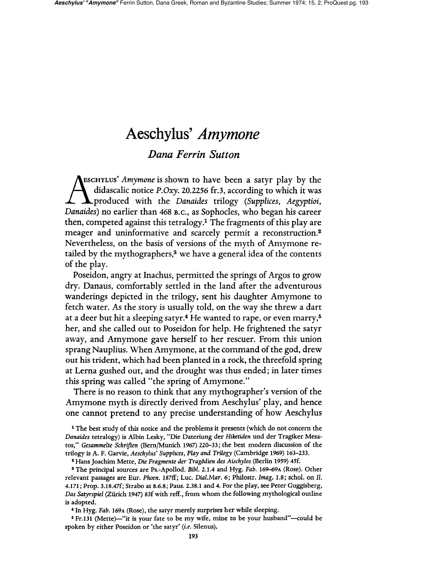# **Aeschylus'** *Amymone*

# *Dana Ferrin Sutton*

**AESCHYLUS'** *Amymone* is shown to have been a satyr play by the didascalic notice P.Oxy. 20.2256 fr.3, according to which it was produced with the *Danaides* trilogy *(Supplices, Aegyptioi, Danaides)* no earlier than 468 B.C., as Sophocles, who began his career then, competed against this tetralogy.<sup>1</sup> The fragments of this play are meager and uninformative and scarcely permit a reconstruction.<sup>2</sup> Nevertheless, on the basis of versions of the myth of Amymone retailed by the mythographers,<sup>3</sup> we have a general idea of the contents of the play.

Poseidon, angry at Inachus, permitted the springs of Argos to grow dry. Danaus, comfortably settled in the land after the adventurous wanderings depicted in the trilogy, sent his daughter Amymone to fetch water. As the story is usually told, on the way she threw a dart at a deer but hit a sleeping satyr.<sup>4</sup> He wanted to rape, or even marry,<sup>5</sup> her, and she called out to Poseidon for help. He frightened the satyr away, and Amymone gave herself to her rescuer. From this union sprang Nauplius. When Amymone, at the command of the god, drew out his trident, which had been planted in a rock, the threefold spring at Lerna gushed out, and the drought was thus ended; in later times this spring was called "the spring of Amymone."

There is no reason to think that any mythographer's version of the Amymone myth is directly derived from Aeschylus' play, and hence one cannot pretend to any precise understanding of how Aeschylus

1 The best study of this notice and the problems it presents (which do not concern the *Danaides* tetralogy) is Albin Lesky, "Die Dateriung der *Hiketiden* und der Tragiker Mesatos," *Gesammelte Schriften* (Bern/Munich 1967) 220-33; the best modern discussion of the trilogy is A. F. Garvie, *Aeschylus' Supplices, Play and Trilogy* (Cambridge 1969) 163-233.

2 Hans Joachim Mette, Die *Fragmente der Tragodien des Aischylos* (Berlin 1959) 45f.

3 The principal sources are Ps.-Apollod. *Bibl.* 2.1.4 and Hyg. *Fab.* 169-69A (Rose). Other relevant passages are Eur. *Phoen.* 187fi'; Luc. *Dial.Mar.* 6; Philostr. *Imag.* 1.8; schol. on II. 4.17l; Prop. 3.18.47f; Strabo at 8.6.8; Paus. 2.38.1 and 4. For the play, see Peter Guggisberg, *Das Satyrspiel* (Zurich 1947) 83f with refi'., from whom the following mythological outline is adopted.

" In Hyg. *Fab.* 169A (Rose), the satyr merely surprises her while sleeping.

<sup>5</sup> Fr.131 (Mette)—"it is your fate to be my wife, mine to be your husband"—could be spoken by either Poseidon or 'the satyr' (i.e. Silenus).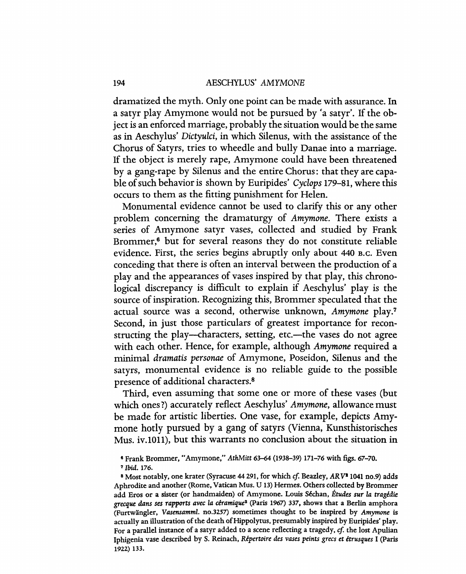dramatized the myth. Only one point can be made with assurance. In a satyr play Amymone would not be pursued by 'a satyr'. If the object is an enforced marriage, probably the situation would be the same as in Aeschylus' *Dictyulci,* in which Silenus, with the assistance of the Chorus of Satyrs, tries to wheedle and bully Danae into a marriage. If the object is merely rape, Amymone could have been threatened by a gang-rape by Silenus and the entire Chorus: that they are capable of such behavior is shown by Euripides' *Cyclops* 179-81, where this occurs to them as the fitting punishment for Helen.

Monumental evidence cannot be used to clarify this or any other problem concerning the dramaturgy of *Amymone.* There exists a series of Amymone satyr vases, collected and studied by Frank Brommer,<sup>6</sup> but for several reasons they do not constitute reliable evidence. First, the series begins abruptly only about 440 B.C. Even conceding that there is often an interval between the production of a play and the appearances of vases inspired by that play, this chronological discrepancy is difficult to explain if Aeschylus' play is the source of inspiration. Recognizing this, Brommer speculated that the actual source was a second, otherwise unknown, *Amymone* play.' Second, in just those particulars of greatest importance for reconstructing the play—characters, setting, etc.—the vases do not agree with each other. Hence, for example, although *Amymone* required a minimal *dramatis personae* of Amymone, Poseidon, Silenus and the satyrs, monumental evidence is no reliable guide to the possible presence of additional characters.8

Third, even assuming that some one or more of these vases (but which ones 1) accurately reflect Aeschylus' *Amymone,* allowance must be made for artistic liberties. One vase, for example, depicts Amymone hotly pursued by a gang of satyrs (Vienna, Kunsthistorisches Mus. iv.lOll), but this warrants no conclusion about the situation in

6 Frank Brommer, "Amymone," *AthMitt* 63-64 (1938-39) 171-76 with figs. 67-70.

<sup>7</sup>*Ibid. 176.* 

<sup>8</sup> Most notably, one krater (Syracuse 44 291, for which *cf* Beazley, *ARV*<sup>1</sup> *I041* no.9) adds Aphrodite and another (Rome, Vatican Mus. U 13) Hermes. Others collected by Brommer add Eros or a sister (or handmaiden) of Amymone. Louis Sechan, *Etudes sur la tragedie grecque dans ses rapports* avec *la ceramique2* (Paris 1967) 337, shows that a Berlin amphora (Furtwangler, *Vasensamml.* no.3257) sometimes thought to be inspired by *Amymone* is actually an illustration of the death of Hippolytus, presumably inspired by Euripides' play. For a parallel instance of a satyr added to a scene reflecting a tragedy, cf. the lost Apulian Iphigenia vase described by S. Reinach, Repertoire *des vases peints grecs* et *errusques* I (Paris 1922) 133.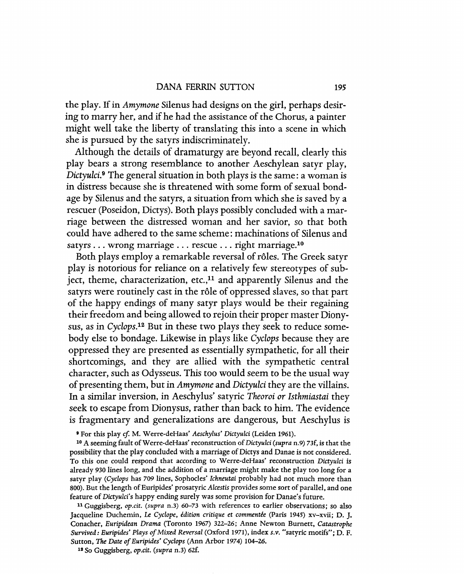the play. If in *Amymone* Silenus had designs on the girl, perhaps desiring to marry her, and if he had the assistance of the Chorus, a painter might well take the liberty of translating this into a scene in which she is pursued by the satyrs indiscriminately.

Although the details of dramaturgy are beyond recall, clearly this play bears a strong resemblance to another Aeschylean satyr play, *Dictyuld.9* The general situation in both plays is the same: a woman is in distress because she is threatened with some form of sexual bondage by Silenus and the satyrs, a situation from which she is saved by a rescuer (Poseidon, Dictys). Both plays possibly concluded with a marriage between the distressed woman and her savior, so that both could have adhered to the same scheme: machinations of Silenus and satyrs . . . wrong marriage . . . rescue . . . right marriage.<sup>10</sup>

Both plays employ a remarkable reversal of roles. The Greek satyr play is notorious for reliance on a relatively few stereotypes of subject, theme, characterization, etc., $11$  and apparently Silenus and the satyrs were routinely cast in the rôle of oppressed slaves, so that part of the happy endings of many satyr plays would be their regaining their freedom and being allowed to rejoin their proper master Dionysus, as in *CyclopS.12* But in these two plays they seek to reduce somebody else to bondage. Likewise in plays like *Cyclops* because they are oppressed they are presented as essentially sympathetic, for all their shortcomings, and they are allied with the sympathetic central character, such as Odysseus. This too would seem to be the usual way of presenting them, but in *Amymone* and *Dictyuld* they are the villains. In a similar inversion, in Aeschylus' satyric *Theoroi or Isthmiastai* they seek to escape from Dionysus, rather than back to him. The evidence is fragmentary and generalizations are dangerous, but Aeschylus is

8 For this play *cf* M. Werre-deHaas' *Aeschylus' Dictyulci* (Leiden 1961).

10 A seeming fault of Werre-de Haas' reconstruction of *Dictyulci (supra* n.9) 73f. is that the possibility that the play concluded with a marriage of Dictys and Danae is not considered. To this one could respond that according to Werre-deHaas' reconstruction *Dictyulci* is already 930 lines long. and the addition of a marriage might make the play too long for a satyr play *(Cyclops* has 709 lines, Sophocles' *Ichneutai* probably had not much more than 800). But the length of EUripides' prosatyric *Alcestis* provides some sort of parallel, and one feature of *Dictyulci's* happy ending surely was some provision for Danae's future.

11 Guggisberg. *op.cit. (supra* n.3) 60-73 with references to earlier observations; so also Jacqueline Duchemin. *Le Cyclope, edition critique* et *commentee* (Paris 1945) xv-xvii; D. J. Conacher, *Euripidean Drama* (Toronto 1967) 322-26; Anne Newton Burnett, *Catastrophe Survived: Euripides' Plays of Mixed Reversal* (Oxford 1971), index *s.v.* "satyric motifs"; D. F. Sutton. The *Date of Euripides' Cyclops* (Ann Arbor 1974) 104-26.

11 So Guggisberg, *op.cit. (supra* n.3) 62f.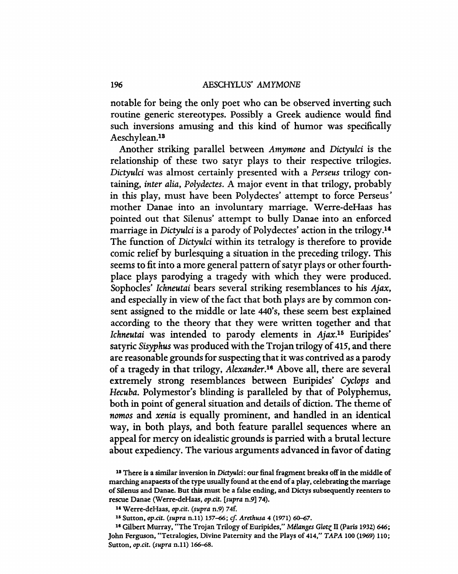notable for being the only poet who can be observed inverting such routine generic stereotypes. Possibly a Greek audience would find such inversions amusing and this kind of humor was specifically Aeschylean.<sup>13</sup>

Another striking parallel between *Amymone* and *Dictyulci* is the relationship of these two satyr plays to their respective trilogies. *Dictyulci* was almost certainly presented with a *Perseus* trilogy containing, *inter alia, Polydectes.* A major event in that trilogy, probably in this play. must have been Polydectes' attempt to force Perseus' mother Danae into an involuntary marriage. Werre-deHaas has pointed out that Silenus' attempt to bully Danae into an enforced marriage in *Dictyulci* is a parody of Polydectes' action in the trilogy.l4 The function of *Dictyulci* within its tetralogy is therefore to provide comic relief by burlesquing a situation in the preceding trilogy. This seems to fit into a more general pattern of satyr plays or other fourthplace plays parodying a tragedy with which they were produced. Sophocles' *Ichneutai* bears several striking resemblances to his *Ajax,*  and especially in view of the fact that both plays are by common consent assigned to the middle or late 44O's. these seem best explained according to the theory that they were written together and that *Ichneutai* was intended to parody elements in *Ajax.I5* Euripides' satyric *Sisyphus* was produced with the Trojan trilogy of 415, and there are reasonable grounds for suspecting that it was contrived as a parody of a tragedy in that trilogy. *Alexander.Is* Above all, there are several extremely strong resemblances between Euripides' *Cyclops* and *Hecuba.* Polymestor's blinding is paralleled by that of Polyphemus. both in point of general situation and details of diction. The theme of *nomos* and *xenia* is equally prominent, and handled in an identical way. in both plays. and both feature parallel sequences where an appeal for mercy on idealistic grounds is parried with a brutal lecture about expediency. The various arguments advanced in favor of dating

16 Sutton, *op.cit. (supra* n.ll) 157-66; *cf Arethusa* 4 (1971) 60-67.

<sup>16</sup> Gilbert Murray, "The Trojan Trilogy of Euripides," *Mélanges Glotz* II (Paris 1932) 646; John Ferguson, "Tetralogies, Divine Paternity and the Plays of 414," *TAPA* 100 (1969) 110; Sutton, *op.cit. (supra* n.ll) 166-68.

<sup>&</sup>lt;sup>13</sup> There is a similar inversion in *Dictyulci*: our final fragment breaks off in the middle of marching anapaests of the type usually found at the end of a play, celebrating the marriage of Silenus and Danae. But this must be a false ending, and Dictys subsequendy reenters to rescue Danae (Werre-deHaas, *op.cit. [supra* n.9] 74).

It Werre-deHaas, *op.cit. (supra* n.9) 74f.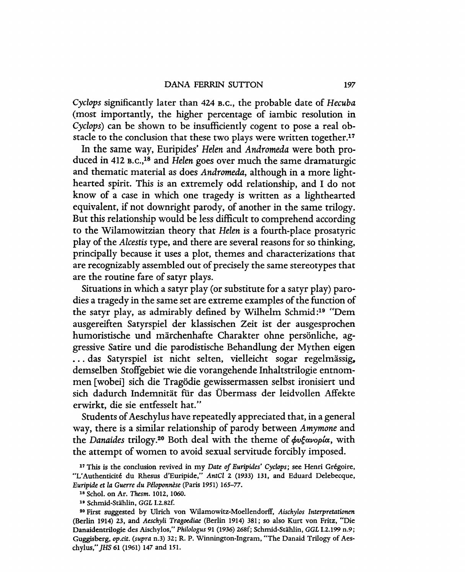#### DANA FERRIN SUTTON 197

*Cyclops* significantly later than 424 B.C., the probable date of *Hecuba*  (most importantly, the higher percentage of iambic resolution in *Cyclops)* can be shown to be insufficiently cogent to pose a real obstacle to the conclusion that these two plays were written together.<sup>17</sup>

In the same way, Euripides' *Helen* and *Andromeda* were both produced in 412 B.C.,IS and *Helen* goes over much the same dramaturgic and thematic material as does *Andromeda,* although in a more lighthearted spirit. This is an extremely odd relationship, and I do not know of a case in which one tragedy is written as a lighthearted equivalent, if not downright parody, of another in the same trilogy. But this relationship would be less difficult to comprehend according to the Wilamowitzian theory that *Helen* is a fourth-place prosatyric play of the *Alcestis* type, and there are several reasons for so thinking, principally because it uses a plot, themes and characterizations that are recognizably assembled out of precisely the same stereotypes that are the routine fare of satyr plays.

Situations in which a satyr play (or substitute for a satyr play) parodies a tragedy in the same set are extreme examples of the function of the satyr play, as admirably defined by Wilhelm Schmid:<sup>19</sup> "Dem ausgereiften Satyrspiel der klassischen Zeit ist der ausgesprochen humoristische und märchenhafte Charakter ohne persönliche, aggressive Satire und die parodistische Behandlung der Mythen eigen ... das Satyrspiel ist nicht selten, vielleicht sogar regelmässig, demselben Stoffgebiet wie die vorangehende Inhaltstrilogie entnommen [wobei] sich die Tragödie gewissermassen selbst ironisiert und sich dadurch Indemnität für das Übermass der leidvollen Affekte erwirkt, die sie entfesselt hat."

Students of Aeschylus have repeatedly appreciated that, in a general way, there is a similar relationship of parody between *Amymone* and the *Danaides* trilogy.<sup>20</sup> Both deal with the theme of φυξανορία, with the attempt of women to avoid sexual servitude forcibly imposed.

<sup>17</sup> This is the conclusion revived in my *Date of Euripides' Cyclops;* see Henri Gregoire, "L'Authenticite du Rhesus d'Euripide," *AntCI* 2 (1933) 131, and Eduard Delebecque, *Euripide* et *la Guerre du Peloponnese* (Paris 1951) 165-77.

<sup>18</sup> Schol. on Ar. Thesm. 1012, 1060.

<sup>19</sup> Schmid-Stahlin, *GGL* 1.2.82f.

<sup>20</sup> First suggested by Ulrich von Wilamowitz-Moellendorff, *Aischylos Interpretationen*  (Berlin 1914) 23, and *Aeschyli Tragoediae* (Berlin 1914) 381; so also Kurt von Fritz, "Die Danaidentrilogie des Aischylos," *Philo!ogus* 91 (1936) 268f; Schmid-Stahlin, *GGL* 1.2.199 n.9; Guggisberg, *op.cit. (supra* n.3) 32; R. P. Winnington-Ingram, "The Danaid Trilogy of Aeschylus," *]HS* 61 (1961) 147 and 151.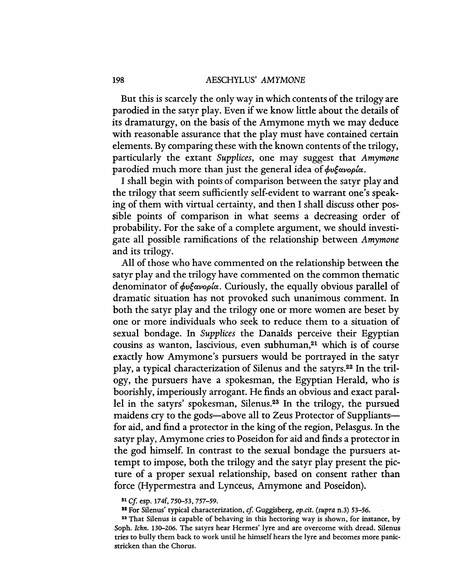But this is scarcely the only way in which contents of the trilogy are parodied in the satyr play. Even if we know little about the details of its dramaturgy, on the basis of the Amymone myth we may deduce with reasonable assurance that the play must have contained certain elements. By comparing these with the known contents of the trilogy, particularly the extant *Supplices,* one may suggest that *Amymone*  parodied much more than just the general idea of  $\phi \psi$ *gavopla*.

I shall begin with points of comparison between the satyr play and the trilogy that seem sufficiently self-evident to warrant one's speaking of them with virtual certainty, and then I shall discuss other possible points of comparison in what seems a decreasing order of probability. For the sake of a complete argument, we should investigate all possible ramifications of the relationship between *Amymone*  and its trilogy.

All of those who have commented on the relationship between the satyr play and the trilogy have commented on the common thematic denominator of *φυξανορία*. Curiously, the equally obvious parallel of dramatic situation has not provoked such unanimous comment. In both the satyr play and the trilogy one or more women are beset by one or more individuals who seek to reduce them to a situation of sexual bondage. In *Supplices* the Danaids perceive their Egyptian cousins as wanton, lascivious, even subhuman,21 which is of course exactly how Amymone's pursuers would be portrayed in the satyr play, a typical characterization of Silenus and the satyrs.22 In the trilogy, the pursuers have a spokesman, the Egyptian Herald, who is boorishly, imperiously arrogant. He finds an obvious and exact parallel in the satyrs' spokesman, Silenus.<sup>23</sup> In the trilogy, the pursued maidens cry to the gods—above all to Zeus Protector of Suppliants for aid, and find a protector in the king of the region, Pelasgus. In the satyr play, Amymone cries to Poseidon for aid and finds a protector in the god himself. In contrast to the sexual bondage the pursuers attempt to impose, both the trilogy and the satyr play present the picture of a proper sexual relationship, based on consent rather than force (Hypermestra and Lynceus, Amymone and Poseidon).

#### <sup>21</sup> *Cf.* esp. 174f, 750-53, 757-59.

<sup>22</sup> For Silenus' typical characterization, *cf.* Guggisberg, *op.cit.* (supra n.3) 53-56.

<sup>23</sup> That Silenus is capable of behaving in this hectoring way is shown, for instance, by Soph. *Ichn.* 130-206. The satyrs hear Hermes' lyre and are overcome with dread. Silenus tries to bully them back to work until he himself hears the lyre and becomes more panicstricken than the Chorus.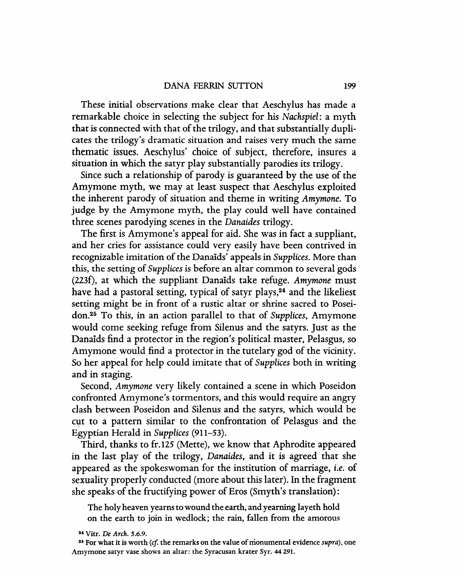#### DANA FERRIN SUTTON 199

These initial observations make clear that Aeschylus has made a remarkable choice in selecting the subject for his *Nachspiel:* a myth that is connected with that of the trilogy, and that substantially duplicates the trilogy's dramatic situation and raises very much the same thematic issues. Aeschylus' choice of subject, therefore, insures a situation in which the satyr play substantially parodies its trilogy.

Since such a relationship of parody is guaranteed by the use of the Amymone myth, we may at least suspect that Aeschylus exploited the inherent parody of situation and theme in writing *Amymone.* To judge by the Amymone myth, the play could well have contained three scenes parodying scenes in the *Danaides* trilogy.

The first is Amymone's appeal for aid. She was in fact a suppliant, and her cries for assistance could very easily have been contrived in recognizable imitation of the Danaids' appeals in *Supplices.* More than this, the setting of *Supplices* is before an altar common to several gods (223f) , at which the suppliant Danaids take refuge. *Amymone* must have had a pastoral setting, typical of satyr plays,<sup>24</sup> and the likeliest setting might be in front of a rustic altar or shrine sacred to Poseidon.25 To this, in an action parallel to that of *Supplices,* Amymone would come seeking refuge from Silenus and the satyrs. Just as the Danaids find a protector in the region's political master, Pelasgus, so Amymone would find a protector in the tutelary god of the vicinity. So her appeal for help could imitate that of *Supplices* both in writing and in staging.

Second, *Amymone* very likely contained a scene in which Poseidon confronted Amymone's tormentors, and this would require an angry clash between Poseidon and Silenus and the satyrs, which would be cut to a pattern similar to the confrontation of Pelasgus and the Egyptian Herald in *Supplices (911-53).* 

Third, thanks to fr.125 (Mette), we know that Aphrodite appeared in the last play of the trilogy, *Danaides,* and it is agreed that she appeared as the spokeswoman for the institution of marriage, *i.e.* of sexuality properly conducted (more about this later). In the fragment she speaks of the fructifying power of Eros (Smyth's translation):

The holy heaven yearns to wound the earth, and yearning layeth hold on the earth to join in wedlock; the rain, fallen from the amorous

<sup>&</sup>lt;sup>24</sup> Vitr. *De Arch.* 5.6.9.

<sup>25</sup> For what it is worth *(cf.* the remarks on the value of monumental evidence *supra),* one Amymone satyr vase shows an altar: the Syracusan krater Syr. 44 291.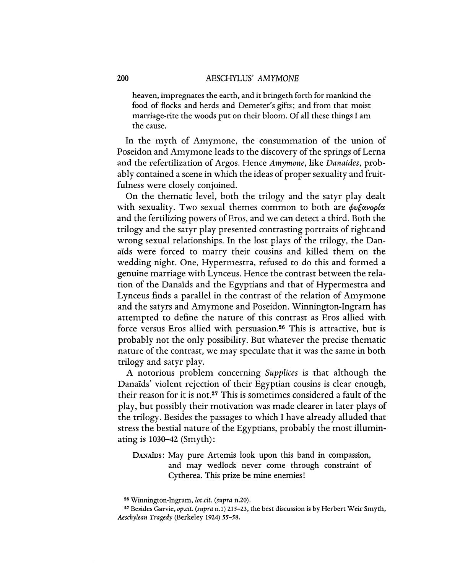### 200 AESCHYLUS' *AMYMONE*

heaven, impregnates the earth, and it bringeth forth for mankind the food of flocks and herds and Demeter's gifts; and from that moist marriage-rite the woods put on their bloom. Of all these things I am the cause.

In the myth of Amymone, the consummation of the union of Poseidon and Amymone leads to the discovery of the springs of Lerna and the refertilization of Argos. Hence *Amymone,* like *Danaides,* probably contained a scene in which the ideas of proper sexuality and fruitfulness were closely conjoined.

On the thematic level, both the trilogy and the satyr play dealt with sexuality. Two sexual themes common to both are  $\phi \nu \xi \alpha \nu \phi \rho \alpha$ and the fertilizing powers of Eros, and we can detect a third. Both the trilogy and the satyr play presented contrasting portraits of right and wrong sexual relationships. In the lost plays of the trilogy, the Danaids were forced to marry their cousins and killed them on the wedding night. One, Hypermestra, refused to do this and formed a genuine marriage with Lynceus. Hence the contrast between the relation of the Danaids and the Egyptians and that of Hypermestra and Lynceus finds a parallel in the contrast of the relation of Amymone and the satyrs and Amymone and Poseidon. Winnington-Ingram has attempted to define the nature of this contrast as Eros allied with force versus Eros allied with persuasion.<sup>26</sup> This is attractive, but is probably not the only possibility. But whatever the precise thematic nature of the contrast, we may speculate that it was the same in both trilogy and satyr play.

A notorious problem concerning *Supplices* is that although the Danaids' violent rejection of their Egyptian cousins is clear enough, their reason for it is not.27 This is sometimes considered a fault of the play, but possibly their motivation was made clearer in later plays of the trilogy. Besides the passages to which I have already alluded that stress the bestial nature of the Egyptians, probably the most illuminating is  $1030-42$  (Smyth):

DANAios: May pure Artemis look upon this band in compassion, and may wedlock never come through constraint of Cytherea. This prize be mine enemies!

<sup>&</sup>lt;sup>26</sup> Winnington-Ingram, *loc.cit.* (*supra* n.20).

<sup>27</sup> Besides Garvie, *op.cit. (supra* n.1) 215-23. the best discussion is by Herbert Weir Smyth. Aeschylean Tragedy (Berkeley 1924) 55-58.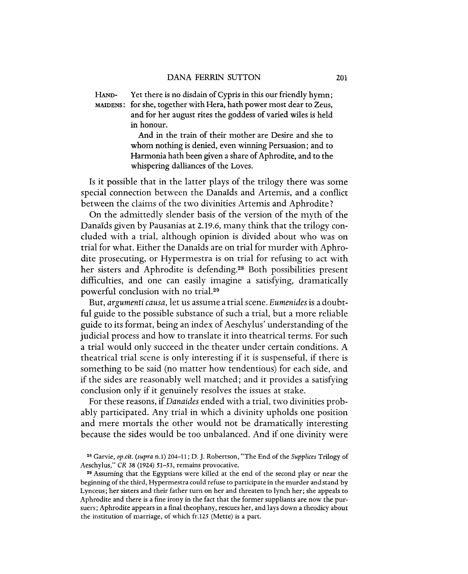HAND- Yet there is no disdain of Cypris in this our friendly hymn; MAIDENS: for she, together with Hera, hath power most dear to Zeus, and for her august rites the goddess of varied wiles is held in honour.

> And in the train of their mother are Desire and she to whom nothing is denied, even winning Persuasion; and to Harmonia hath been given a share of Aphrodite, and to the whispering dalliances of the Loves.

Is it possible that in the latter plays of the trilogy there was some special connection between the Danaids and Artemis, and a conflict between the claims of the two divinities Artemis and Aphrodite?

On the admittedly slender basis of the version of the myth of the Danaids given by Pausanias at 2.19.6, many think that the trilogy concluded with a trial, although opinion is divided about who was on trial for what. Either the Danaids are on trial for murder with Aphrodite prosecuting, or Hypermestra is on trial for refusing to act with her sisters and Aphrodite is defending.<sup>28</sup> Both possibilities present difficulties, and one can easily imagine a satisfying, dramatically powerful conclusion with no tria1.29

But, *argumenti causa,* let us assume a trial scene. *Eumenides* is a doubtful guide to the possible substance of such a trial, but a more reliable guide to its format, being an index of Aeschylus' understanding of the judicial process and how to translate it into theatrical terms. For such a trial would only succeed in the theater under certain conditions. A theatrical trial scene is only interesting if it is suspenseful, if there is something to be said (no matter how tendentious) for each side, and if the sides are reasonably well matched; and it provides a satisfying conclusion only if it genuinely resolves the issues at stake.

For these reasons, if *Danaides* ended with a trial, two divinities probably participated. Any trial in which a divinity upholds one position and mere mortals the other would not be dramatically interesting because the sides would be too unbalanced. And if one divinity were

<sup>28</sup> Garvie, *op.cit. (supra* n.1) 204-11; D. J. Robertson, "The End of the *Supplices* Trilogy of Aeschylus," CR 38 (1924) 51-53, remains provocative.

<sup>29</sup> Assuming that the Egyptians were killed at the end of the second play or near the beginning of the third, Hypermestra could refuse to participate in the murder and stand by Lynceus; her sisters and their father turn on her and threaten to lynch her; she appeals to Aphrodite and there is a fine irony in the fact that the former suppliants are now the pursuers; Aphrodite appears in a final theophany, rescues her, and lays down a theodiey about the institution of marriage, of which fr.125 (Mette) is a part.